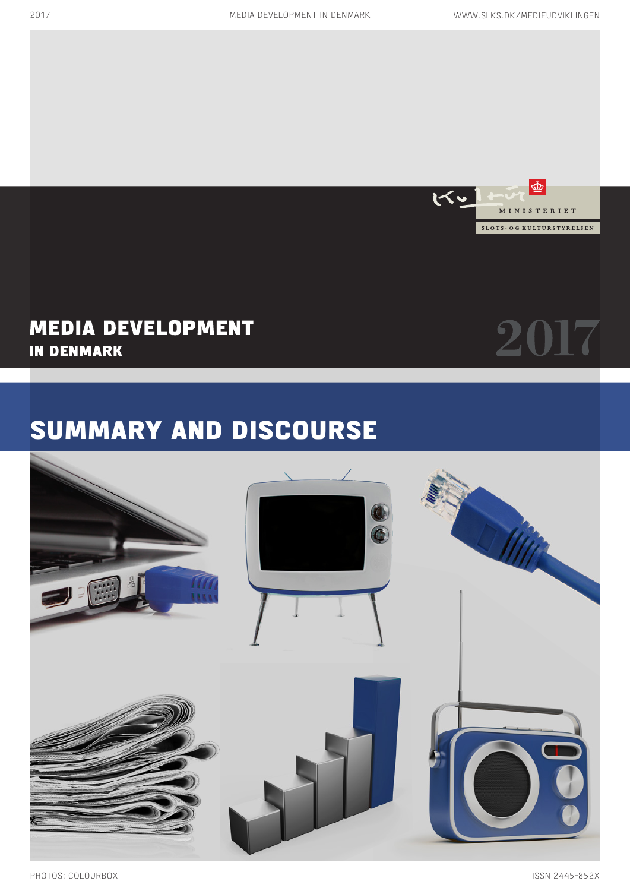

# SUMMARY AND DISCOURSE

# **MEDIA DEVELOPMENT IN DENMARK**

# 2017

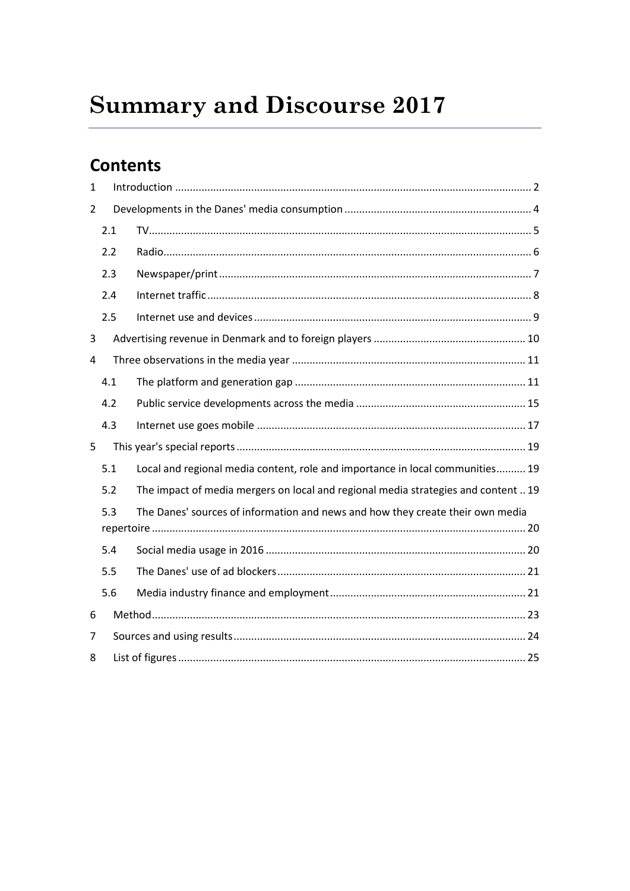# **Summary and Discourse 2017**

# **Contents**

| 1 |     |                                                                                    |  |  |
|---|-----|------------------------------------------------------------------------------------|--|--|
| 2 |     |                                                                                    |  |  |
|   | 2.1 |                                                                                    |  |  |
|   | 2.2 |                                                                                    |  |  |
|   | 2.3 |                                                                                    |  |  |
|   | 2.4 |                                                                                    |  |  |
|   | 2.5 |                                                                                    |  |  |
| 3 |     |                                                                                    |  |  |
| 4 |     |                                                                                    |  |  |
|   | 4.1 |                                                                                    |  |  |
|   | 4.2 |                                                                                    |  |  |
|   | 4.3 |                                                                                    |  |  |
| 5 |     |                                                                                    |  |  |
|   | 5.1 | Local and regional media content, role and importance in local communities 19      |  |  |
|   | 5.2 | The impact of media mergers on local and regional media strategies and content  19 |  |  |
|   | 5.3 | The Danes' sources of information and news and how they create their own media     |  |  |
|   | 5.4 |                                                                                    |  |  |
|   | 5.5 |                                                                                    |  |  |
|   | 5.6 |                                                                                    |  |  |
| 6 |     |                                                                                    |  |  |
| 7 |     |                                                                                    |  |  |
| 8 |     |                                                                                    |  |  |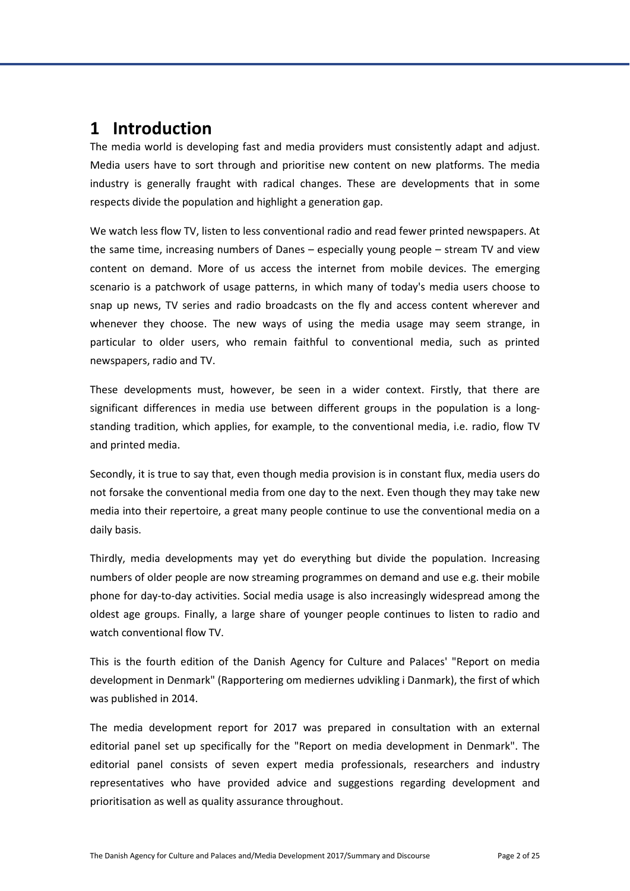# <span id="page-2-0"></span>**1 Introduction**

The media world is developing fast and media providers must consistently adapt and adjust. Media users have to sort through and prioritise new content on new platforms. The media industry is generally fraught with radical changes. These are developments that in some respects divide the population and highlight a generation gap.

We watch less flow TV, listen to less conventional radio and read fewer printed newspapers. At the same time, increasing numbers of Danes – especially young people – stream TV and view content on demand. More of us access the internet from mobile devices. The emerging scenario is a patchwork of usage patterns, in which many of today's media users choose to snap up news, TV series and radio broadcasts on the fly and access content wherever and whenever they choose. The new ways of using the media usage may seem strange, in particular to older users, who remain faithful to conventional media, such as printed newspapers, radio and TV.

These developments must, however, be seen in a wider context. Firstly, that there are significant differences in media use between different groups in the population is a longstanding tradition, which applies, for example, to the conventional media, i.e. radio, flow TV and printed media.

Secondly, it is true to say that, even though media provision is in constant flux, media users do not forsake the conventional media from one day to the next. Even though they may take new media into their repertoire, a great many people continue to use the conventional media on a daily basis.

Thirdly, media developments may yet do everything but divide the population. Increasing numbers of older people are now streaming programmes on demand and use e.g. their mobile phone for day-to-day activities. Social media usage is also increasingly widespread among the oldest age groups. Finally, a large share of younger people continues to listen to radio and watch conventional flow TV.

This is the fourth edition of the Danish Agency for Culture and Palaces' "Report on media development in Denmark" (Rapportering om mediernes udvikling i Danmark), the first of which was published in 2014.

The media development report for 2017 was prepared in consultation with an external editorial panel set up specifically for the "Report on media development in Denmark". The editorial panel consists of seven expert media professionals, researchers and industry representatives who have provided advice and suggestions regarding development and prioritisation as well as quality assurance throughout.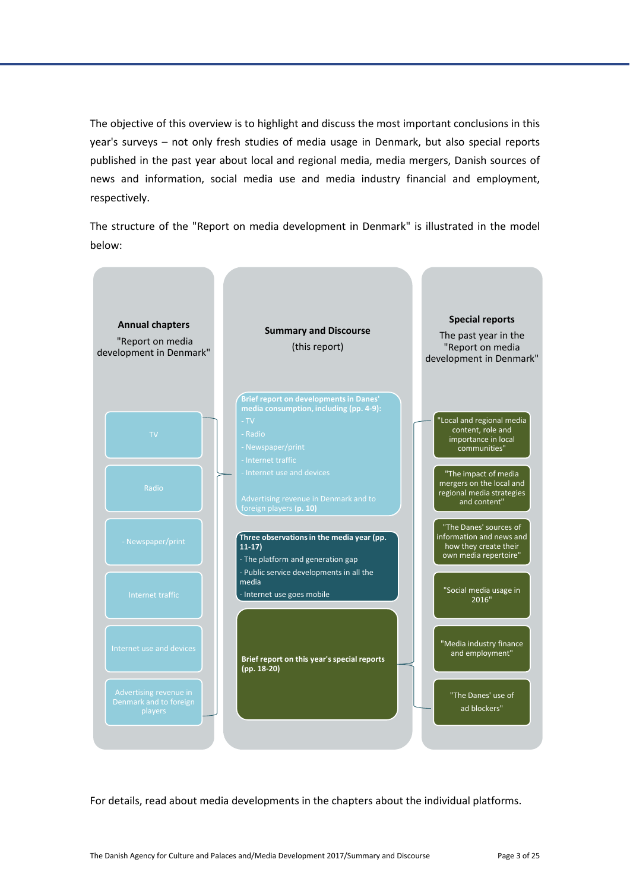The objective of this overview is to highlight and discuss the most important conclusions in this year's surveys – not only fresh studies of media usage in Denmark, but also special reports published in the past year about local and regional media, media mergers, Danish sources of news and information, social media use and media industry financial and employment, respectively.

The structure of the "Report on media development in Denmark" is illustrated in the model below:



For details, read about media developments in the chapters about the individual platforms.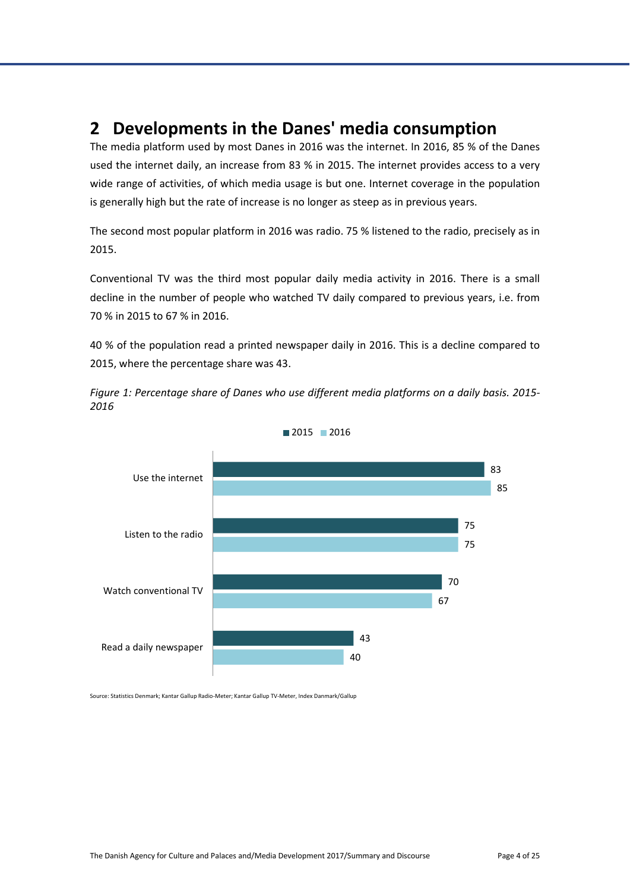# <span id="page-4-0"></span>**2 Developments in the Danes' media consumption**

The media platform used by most Danes in 2016 was the internet. In 2016, 85 % of the Danes used the internet daily, an increase from 83 % in 2015. The internet provides access to a very wide range of activities, of which media usage is but one. Internet coverage in the population is generally high but the rate of increase is no longer as steep as in previous years.

The second most popular platform in 2016 was radio. 75 % listened to the radio, precisely as in 2015.

Conventional TV was the third most popular daily media activity in 2016. There is a small decline in the number of people who watched TV daily compared to previous years, i.e. from 70 % in 2015 to 67 % in 2016.

40 % of the population read a printed newspaper daily in 2016. This is a decline compared to 2015, where the percentage share was 43.

<span id="page-4-1"></span>*Figure 1: Percentage share of Danes who use different media platforms on a daily basis. 2015- 2016*





Source: Statistics Denmark; Kantar Gallup Radio-Meter; Kantar Gallup TV-Meter, Index Danmark/Gallup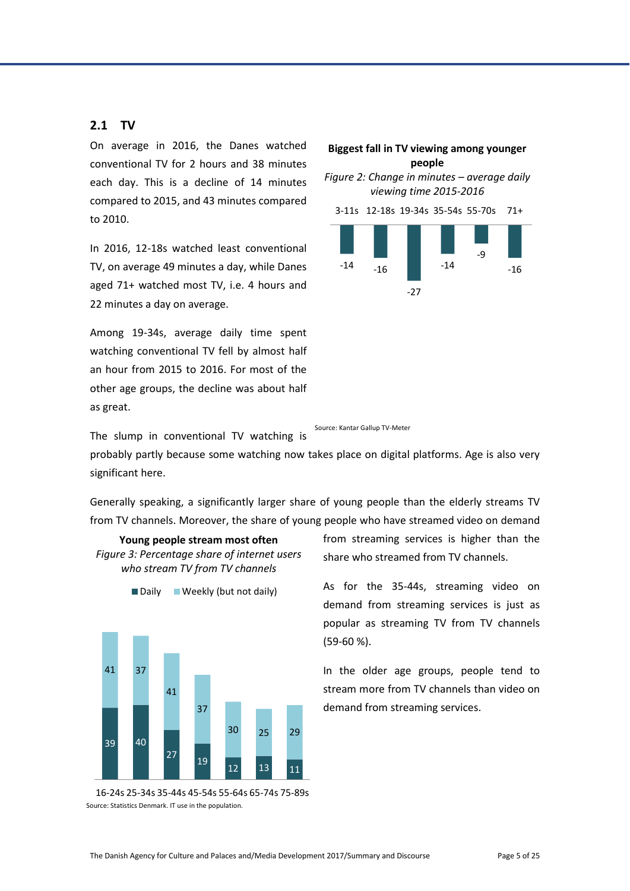#### <span id="page-5-0"></span>**2.1 TV**

On average in 2016, the Danes watched conventional TV for 2 hours and 38 minutes each day. This is a decline of 14 minutes compared to 2015, and 43 minutes compared to 2010.

In 2016, 12-18s watched least conventional TV, on average 49 minutes a day, while Danes aged 71+ watched most TV, i.e. 4 hours and 22 minutes a day on average.

Among 19-34s, average daily time spent watching conventional TV fell by almost half an hour from 2015 to 2016. For most of the other age groups, the decline was about half as great.

The slump in conventional TV watching is

<span id="page-5-1"></span>

Source: Kantar Gallup TV-Meter

probably partly because some watching now takes place on digital platforms. Age is also very significant here.

Generally speaking, a significantly larger share of young people than the elderly streams TV from TV channels. Moreover, the share of young people who have streamed video on demand

<span id="page-5-2"></span>

**Young people stream most often**



Source: Statistics Denmark. IT use in the population. 16-24s 25-34s 35-44s 45-54s 55-64s 65-74s 75-89s from streaming services is higher than the share who streamed from TV channels.

As for the 35-44s, streaming video on demand from streaming services is just as popular as streaming TV from TV channels (59-60 %).

In the older age groups, people tend to stream more from TV channels than video on demand from streaming services.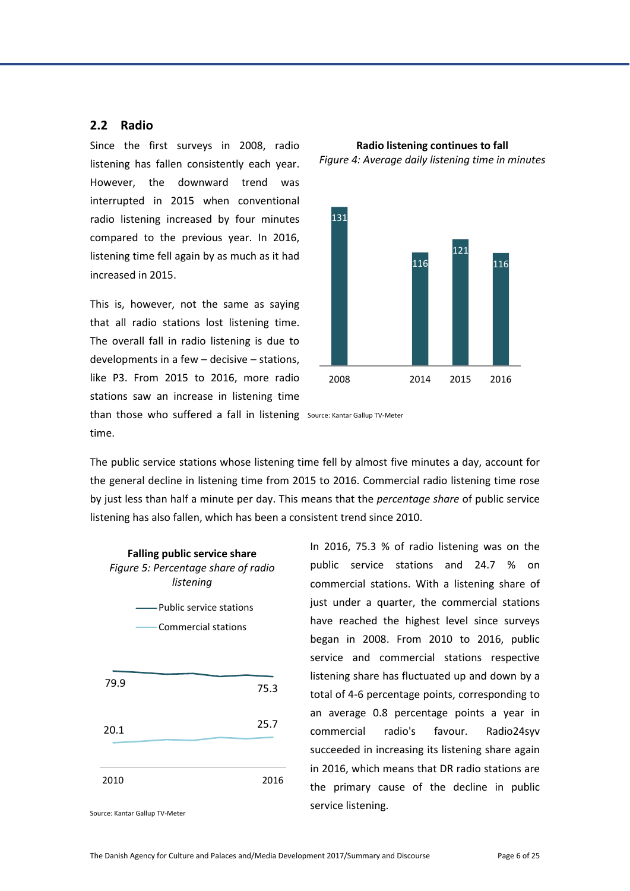#### <span id="page-6-0"></span>**2.2 Radio**

Since the first surveys in 2008, radio listening has fallen consistently each year. However, the downward trend was interrupted in 2015 when conventional radio listening increased by four minutes compared to the previous year. In 2016, listening time fell again by as much as it had increased in 2015.

This is, however, not the same as saying that all radio stations lost listening time. The overall fall in radio listening is due to developments in a few – decisive – stations, like P3. From 2015 to 2016, more radio stations saw an increase in listening time

<span id="page-6-1"></span>



than those who suffered a fall in listening Source: Kantar Gallup TV-Meter time.

The public service stations whose listening time fell by almost five minutes a day, account for the general decline in listening time from 2015 to 2016. Commercial radio listening time rose by just less than half a minute per day. This means that the *percentage share* of public service listening has also fallen, which has been a consistent trend since 2010.

<span id="page-6-2"></span>

In 2016, 75.3 % of radio listening was on the public service stations and 24.7 % on commercial stations. With a listening share of just under a quarter, the commercial stations have reached the highest level since surveys began in 2008. From 2010 to 2016, public service and commercial stations respective listening share has fluctuated up and down by a total of 4-6 percentage points, corresponding to an average 0.8 percentage points a year in commercial radio's favour. Radio24syv succeeded in increasing its listening share again in 2016, which means that DR radio stations are the primary cause of the decline in public service listening.

Source: Kantar Gallup TV-Meter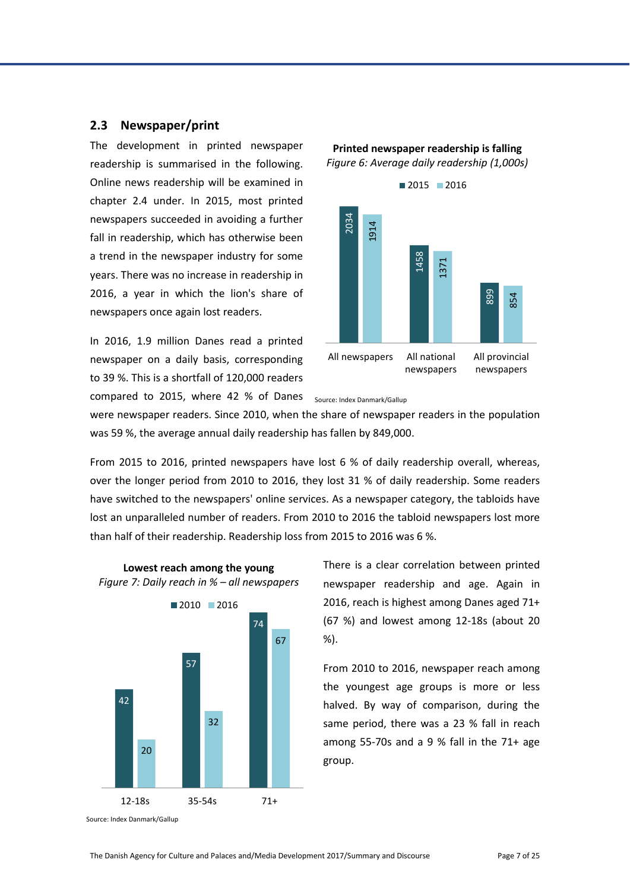#### <span id="page-7-0"></span>**2.3 Newspaper/print**

The development in printed newspaper readership is summarised in the following. Online news readership will be examined in chapter [2.4](#page-8-0) [under.](#page-8-0) In 2015, most printed newspapers succeeded in avoiding a further fall in readership, which has otherwise been a trend in the newspaper industry for some years. There was no increase in readership in 2016, a year in which the lion's share of newspapers once again lost readers.

In 2016, 1.9 million Danes read a printed newspaper on a daily basis, corresponding to 39 %. This is a shortfall of 120,000 readers compared to 2015, where 42 % of Danes



<span id="page-7-1"></span>**Printed newspaper readership is falling** *Figure 6: Average daily readership (1,000s)*



were newspaper readers. Since 2010, when the share of newspaper readers in the population was 59 %, the average annual daily readership has fallen by 849,000.

From 2015 to 2016, printed newspapers have lost 6 % of daily readership overall, whereas, over the longer period from 2010 to 2016, they lost 31 % of daily readership. Some readers have switched to the newspapers' online services. As a newspaper category, the tabloids have lost an unparalleled number of readers. From 2010 to 2016 the tabloid newspapers lost more than half of their readership. Readership loss from 2015 to 2016 was 6 %.

<span id="page-7-2"></span>

**Lowest reach among the young**

There is a clear correlation between printed newspaper readership and age. Again in 2016, reach is highest among Danes aged 71+ (67 %) and lowest among 12-18s (about 20 %).

From 2010 to 2016, newspaper reach among the youngest age groups is more or less halved. By way of comparison, during the same period, there was a 23 % fall in reach among 55-70s and a 9 % fall in the 71+ age group.

Source: Index Danmark/Gallup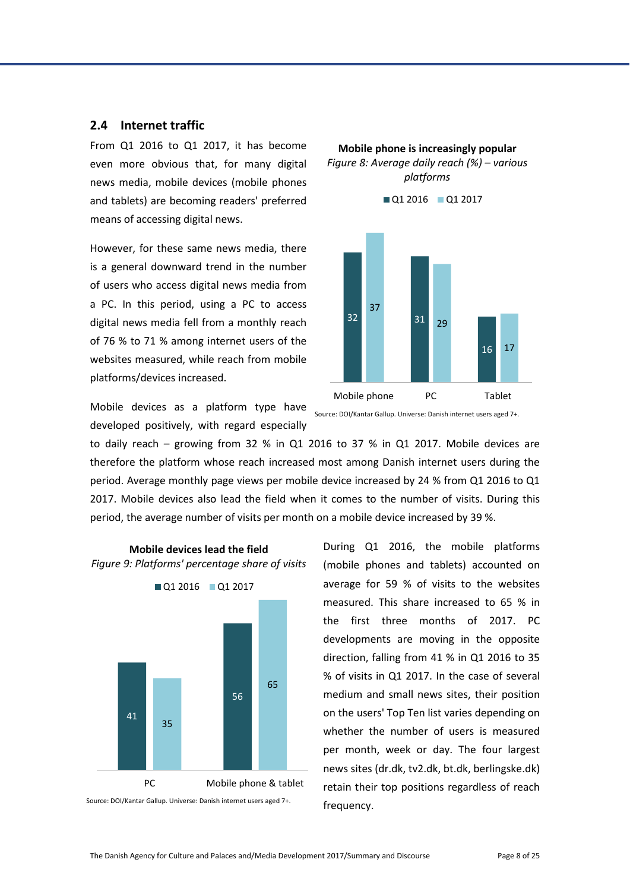#### <span id="page-8-0"></span>**2.4 Internet traffic**

From Q1 2016 to Q1 2017, it has become even more obvious that, for many digital news media, mobile devices (mobile phones and tablets) are becoming readers' preferred means of accessing digital news.

However, for these same news media, there is a general downward trend in the number of users who access digital news media from a PC. In this period, using a PC to access digital news media fell from a monthly reach of 76 % to 71 % among internet users of the websites measured, while reach from mobile platforms/devices increased.

Mobile devices as a platform type have developed positively, with regard especially



<span id="page-8-1"></span>**Mobile phone is increasingly popular** *Figure 8: Average daily reach (%) – various platforms*

Source: DOI/Kantar Gallup. Universe: Danish internet users aged 7+.

to daily reach – growing from 32 % in Q1 2016 to 37 % in Q1 2017. Mobile devices are therefore the platform whose reach increased most among Danish internet users during the period. Average monthly page views per mobile device increased by 24 % from Q1 2016 to Q1 2017. Mobile devices also lead the field when it comes to the number of visits. During this period, the average number of visits per month on a mobile device increased by 39 %.

<span id="page-8-2"></span>

**Mobile devices lead the field**

During Q1 2016, the mobile platforms (mobile phones and tablets) accounted on average for 59 % of visits to the websites measured. This share increased to 65 % in the first three months of 2017. PC developments are moving in the opposite direction, falling from 41 % in Q1 2016 to 35 % of visits in Q1 2017. In the case of several medium and small news sites, their position on the users' Top Ten list varies depending on whether the number of users is measured per month, week or day. The four largest news sites (dr.dk, tv2.dk, bt.dk, berlingske.dk) retain their top positions regardless of reach frequency.

Source: DOI/Kantar Gallup. Universe: Danish internet users aged 7+.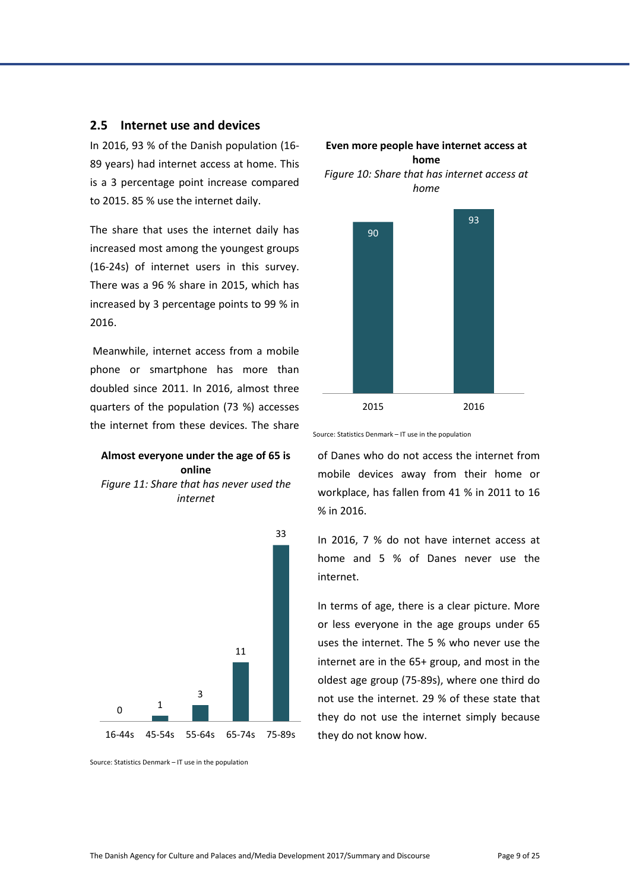#### <span id="page-9-0"></span>**2.5 Internet use and devices**

In 2016, 93 % of the Danish population (16- 89 years) had internet access at home. This is a 3 percentage point increase compared to 2015. 85 % use the internet daily.

The share that uses the internet daily has increased most among the youngest groups (16-24s) of internet users in this survey. There was a 96 % share in 2015, which has increased by 3 percentage points to 99 % in 2016.

Meanwhile, internet access from a mobile phone or smartphone has more than doubled since 2011. In 2016, almost three quarters of the population (73 %) accesses the internet from these devices. The share

#### **Almost everyone under the age of 65 is online**

<span id="page-9-2"></span>*Figure 11: Share that has never used the internet*



<span id="page-9-1"></span>



Source: Statistics Denmark – IT use in the population

of Danes who do not access the internet from mobile devices away from their home or workplace, has fallen from 41 % in 2011 to 16 % in 2016.

In 2016, 7 % do not have internet access at home and 5 % of Danes never use the internet.

In terms of age, there is a clear picture. More or less everyone in the age groups under 65 uses the internet. The 5 % who never use the internet are in the 65+ group, and most in the oldest age group (75-89s), where one third do not use the internet. 29 % of these state that they do not use the internet simply because they do not know how.

Source: Statistics Denmark – IT use in the population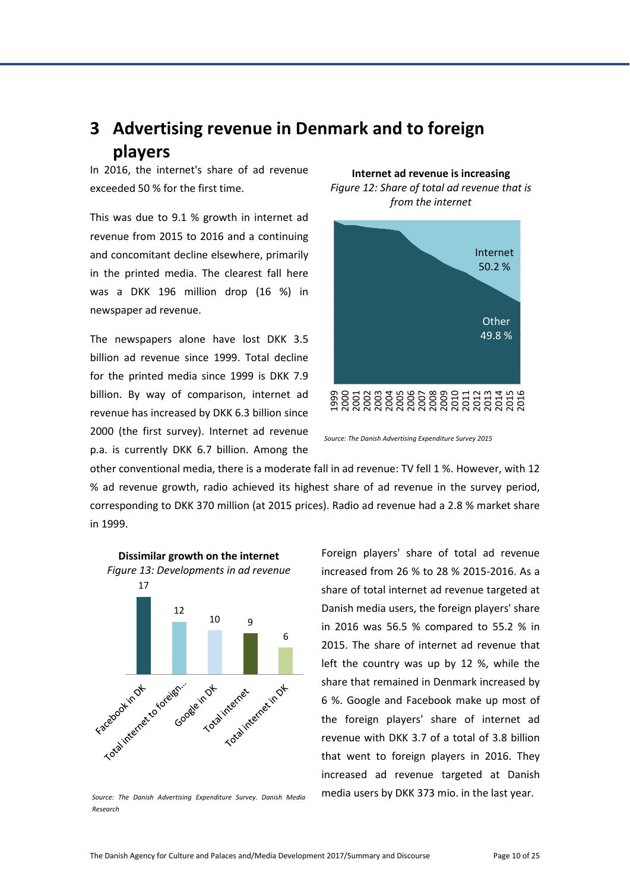# <span id="page-10-0"></span>**3 Advertising revenue in Denmark and to foreign players**

In 2016, the internet's share of ad revenue exceeded 50 % for the first time.

This was due to 9.1 % growth in internet ad revenue from 2015 to 2016 and a continuing and concomitant decline elsewhere, primarily in the printed media. The clearest fall here was a DKK 196 million drop (16 %) in newspaper ad revenue.

The newspapers alone have lost DKK 3.5 billion ad revenue since 1999. Total decline for the printed media since 1999 is DKK 7.9 billion. By way of comparison, internet ad revenue has increased by DKK 6.3 billion since 2000 (the first survey). Internet ad revenue p.a. is currently DKK 6.7 billion. Among the

<span id="page-10-1"></span>**Internet ad revenue is increasing** *Figure 12: Share of total ad revenue that is from the internet*



*Source: The Danish Advertising Expenditure Survey 2015*

other conventional media, there is a moderate fall in ad revenue: TV fell 1 %. However, with 12 % ad revenue growth, radio achieved its highest share of ad revenue in the survey period, corresponding to DKK 370 million (at 2015 prices). Radio ad revenue had a 2.8 % market share in 1999.

<span id="page-10-2"></span>

*Source: The Danish Advertising Expenditure Survey. Danish Media Research*

Foreign players' share of total ad revenue increased from 26 % to 28 % 2015-2016. As a share of total internet ad revenue targeted at Danish media users, the foreign players' share in 2016 was 56.5 % compared to 55.2 % in 2015. The share of internet ad revenue that left the country was up by 12 %, while the share that remained in Denmark increased by 6 %. Google and Facebook make up most of the foreign players' share of internet ad revenue with DKK 3.7 of a total of 3.8 billion that went to foreign players in 2016. They increased ad revenue targeted at Danish media users by DKK 373 mio. in the last year.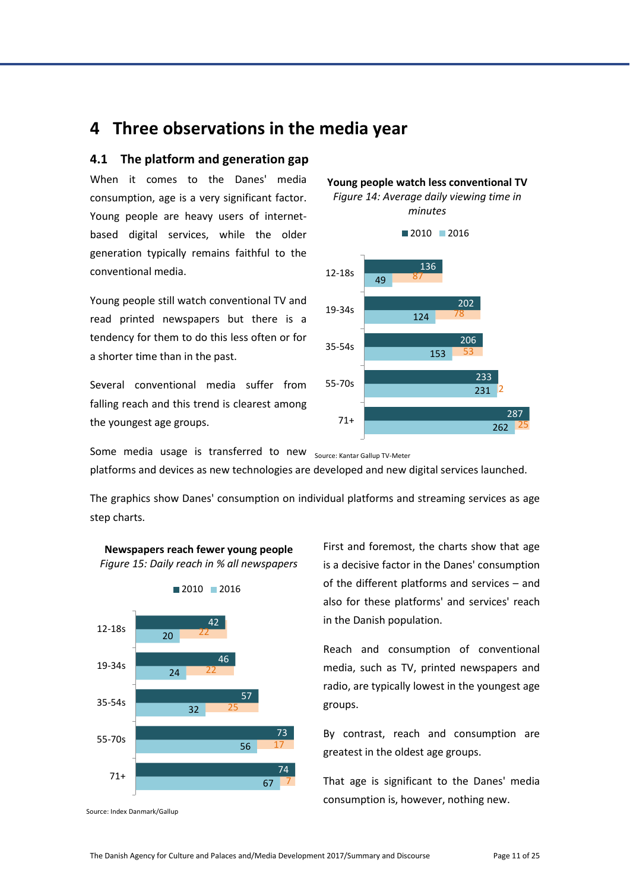# <span id="page-11-0"></span>**4 Three observations in the media year**

#### <span id="page-11-1"></span>**4.1 The platform and generation gap**

When it comes to the Danes' media consumption, age is a very significant factor. Young people are heavy users of internetbased digital services, while the older generation typically remains faithful to the conventional media.

Young people still watch conventional TV and read printed newspapers but there is a tendency for them to do this less often or for a shorter time than in the past.

Several conventional media suffer from falling reach and this trend is clearest among the youngest age groups.

<span id="page-11-2"></span>

**Young people watch less conventional TV**

*Figure 14: Average daily viewing time in* 

Some media usage is transferred to new Source: Kantar Gallup TV-Meter

platforms and devices as new technologies are developed and new digital services launched.

The graphics show Danes' consumption on individual platforms and streaming services as age step charts.



<span id="page-11-3"></span>**Newspapers reach fewer young people** *Figure 15: Daily reach in % all newspapers*

Source: Index Danmark/Gallup

First and foremost, the charts show that age is a decisive factor in the Danes' consumption of the different platforms and services – and also for these platforms' and services' reach in the Danish population.

Reach and consumption of conventional media, such as TV, printed newspapers and radio, are typically lowest in the youngest age groups.

By contrast, reach and consumption are greatest in the oldest age groups.

That age is significant to the Danes' media consumption is, however, nothing new.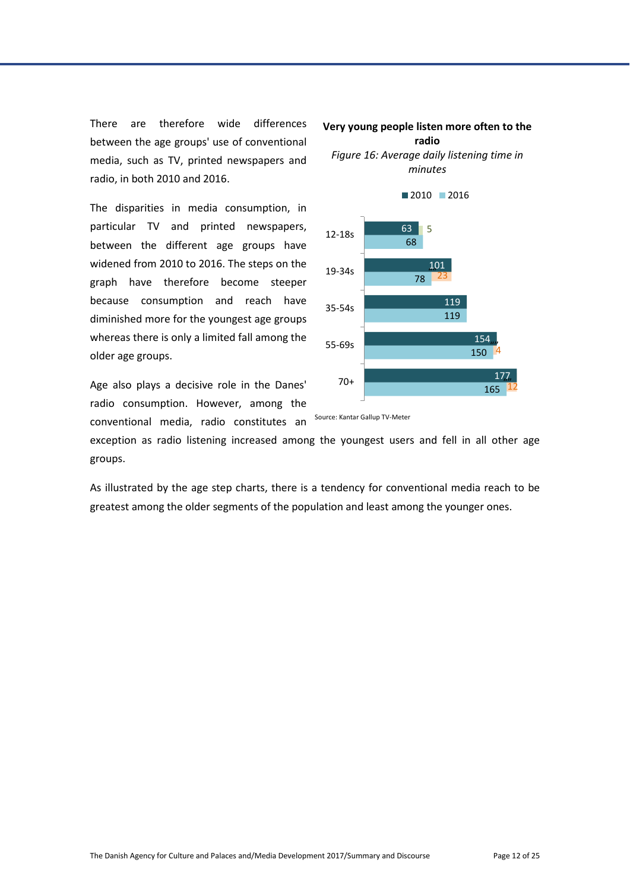There are therefore wide differences between the age groups' use of conventional media, such as TV, printed newspapers and radio, in both 2010 and 2016.

The disparities in media consumption, in particular TV and printed newspapers, between the different age groups have widened from 2010 to 2016. The steps on the graph have therefore become steeper because consumption and reach have diminished more for the youngest age groups whereas there is only a limited fall among the older age groups.

Age also plays a decisive role in the Danes' radio consumption. However, among the conventional media, radio constitutes an



<span id="page-12-0"></span>*Figure 16: Average daily listening time in minutes*



Source: Kantar Gallup TV-Meter

exception as radio listening increased among the youngest users and fell in all other age groups.

As illustrated by the age step charts, there is a tendency for conventional media reach to be greatest among the older segments of the population and least among the younger ones.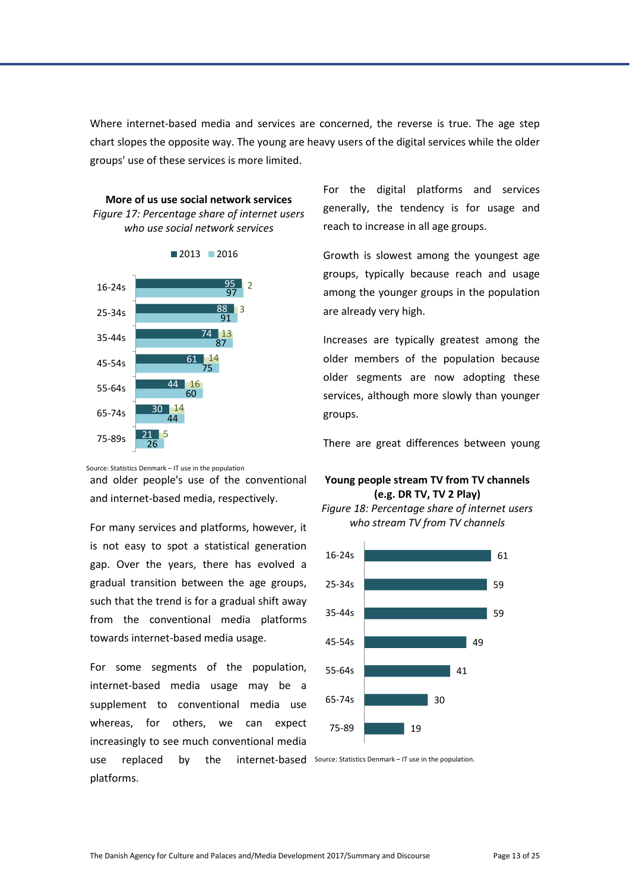Where internet-based media and services are concerned, the reverse is true. The age step chart slopes the opposite way. The young are heavy users of the digital services while the older groups' use of these services is more limited.

<span id="page-13-0"></span>



Source: Statistics Denmark – IT use in the population

and older people's use of the conventional and internet-based media, respectively.

For many services and platforms, however, it is not easy to spot a statistical generation gap. Over the years, there has evolved a gradual transition between the age groups, such that the trend is for a gradual shift away from the conventional media platforms towards internet-based media usage.

For some segments of the population, internet-based media usage may be a supplement to conventional media use whereas, for others, we can expect increasingly to see much conventional media use replaced by the internet-based Source: Statistics Denmark – IT use in the population. platforms.

For the digital platforms and services generally, the tendency is for usage and reach to increase in all age groups.

Growth is slowest among the youngest age groups, typically because reach and usage among the younger groups in the population are already very high.

Increases are typically greatest among the older members of the population because older segments are now adopting these services, although more slowly than younger groups.

There are great differences between young

#### **Young people stream TV from TV channels (e.g. DR TV, TV 2 Play)**

<span id="page-13-1"></span>*Figure 18: Percentage share of internet users who stream TV from TV channels* 

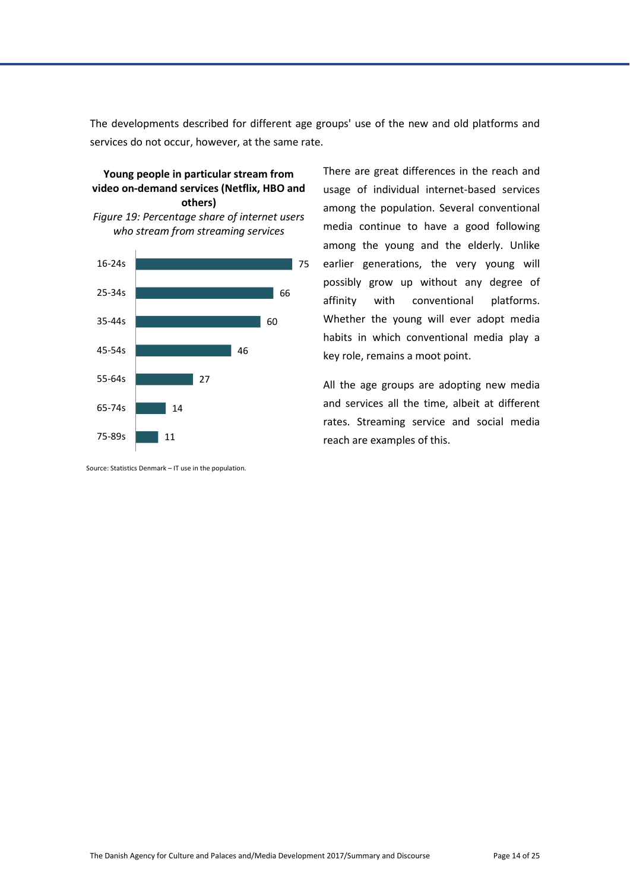The developments described for different age groups' use of the new and old platforms and services do not occur, however, at the same rate.

#### **Young people in particular stream from video on-demand services (Netflix, HBO and others)**

<span id="page-14-0"></span>



Source: Statistics Denmark – IT use in the population.

There are great differences in the reach and usage of individual internet-based services among the population. Several conventional media continue to have a good following among the young and the elderly. Unlike earlier generations, the very young will possibly grow up without any degree of affinity with conventional platforms. Whether the young will ever adopt media habits in which conventional media play a key role, remains a moot point.

All the age groups are adopting new media and services all the time, albeit at different rates. Streaming service and social media reach are examples of this.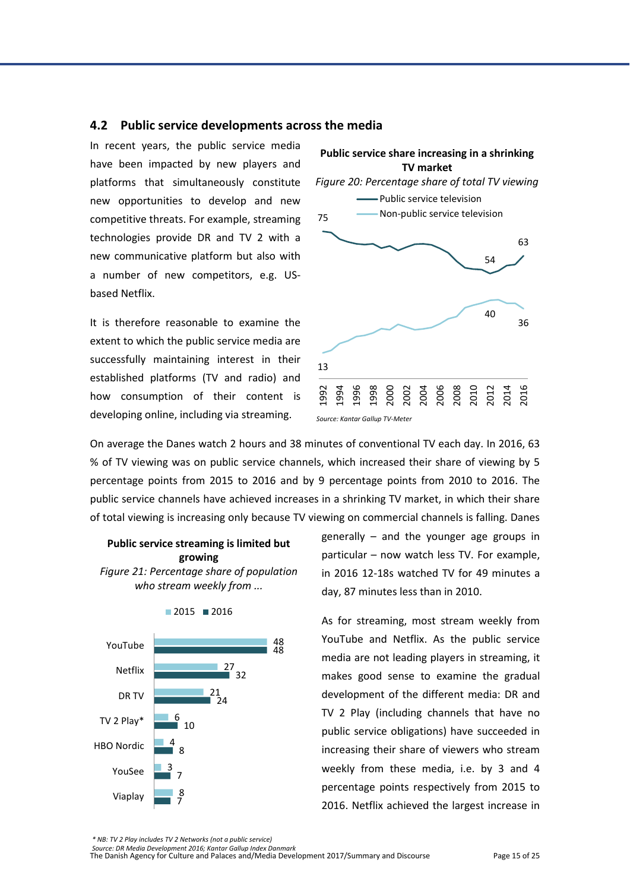#### <span id="page-15-0"></span>**4.2 Public service developments across the media**

In recent years, the public service media have been impacted by new players and platforms that simultaneously constitute new opportunities to develop and new competitive threats. For example, streaming technologies provide DR and TV 2 with a new communicative platform but also with a number of new competitors, e.g. USbased Netflix.

It is therefore reasonable to examine the extent to which the public service media are successfully maintaining interest in their established platforms (TV and radio) and how consumption of their content is developing online, including via streaming.

<span id="page-15-1"></span>

On average the Danes watch 2 hours and 38 minutes of conventional TV each day. In 2016, 63 % of TV viewing was on public service channels, which increased their share of viewing by 5 percentage points from 2015 to 2016 and by 9 percentage points from 2010 to 2016. The public service channels have achieved increases in a shrinking TV market, in which their share of total viewing is increasing only because TV viewing on commercial channels is falling. Danes

#### **Public service streaming is limited but growing**

<span id="page-15-2"></span>*Figure 21: Percentage share of population who stream weekly from ...*



 $2015$  2016

generally – and the younger age groups in particular – now watch less TV. For example, in 2016 12-18s watched TV for 49 minutes a day, 87 minutes less than in 2010.

As for streaming, most stream weekly from YouTube and Netflix. As the public service media are not leading players in streaming, it makes good sense to examine the gradual development of the different media: DR and TV 2 Play (including channels that have no public service obligations) have succeeded in increasing their share of viewers who stream weekly from these media, i.e. by 3 and 4 percentage points respectively from 2015 to 2016. Netflix achieved the largest increase in

*\* NB: TV 2 Play includes TV 2 Networks (not a public service)*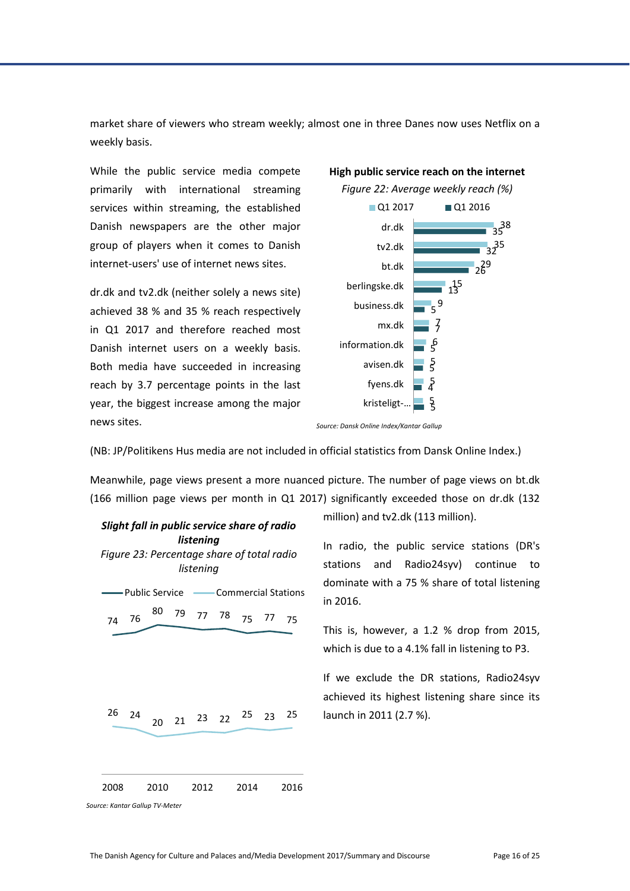market share of viewers who stream weekly; almost one in three Danes now uses Netflix on a weekly basis.

While the public service media compete primarily with international streaming services within streaming, the established Danish newspapers are the other major group of players when it comes to Danish internet-users' use of internet news sites.

dr.dk and tv2.dk (neither solely a news site) achieved 38 % and 35 % reach respectively in Q1 2017 and therefore reached most Danish internet users on a weekly basis. Both media have succeeded in increasing reach by 3.7 percentage points in the last year, the biggest increase among the major news sites.

<span id="page-16-0"></span>



*Source: Dansk Online Index/Kantar Gallup*

(NB: JP/Politikens Hus media are not included in official statistics from Dansk Online Index.)

Meanwhile, page views present a more nuanced picture. The number of page views on bt.dk (166 million page views per month in Q1 2017) significantly exceeded those on dr.dk (132

<span id="page-16-1"></span>

million) and tv2.dk (113 million).

In radio, the public service stations (DR's stations and Radio24syv) continue to dominate with a 75 % share of total listening in 2016.

This is, however, a 1.2 % drop from 2015, which is due to a 4.1% fall in listening to P3.

If we exclude the DR stations, Radio24syv achieved its highest listening share since its launch in 2011 (2.7 %).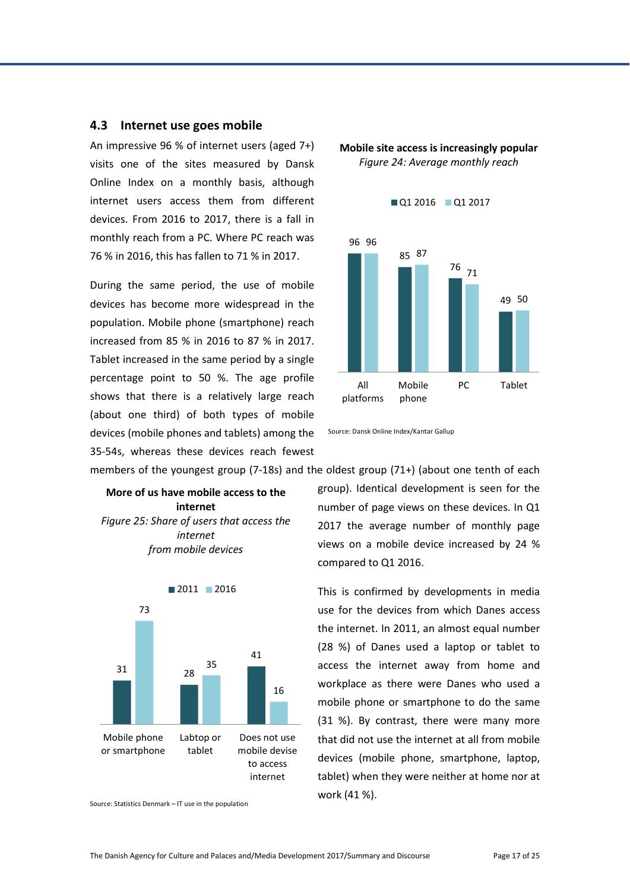#### <span id="page-17-0"></span>**4.3 Internet use goes mobile**

An impressive 96 % of internet users (aged 7+) visits one of the sites measured by Dansk Online Index on a monthly basis, although internet users access them from different devices. From 2016 to 2017, there is a fall in monthly reach from a PC. Where PC reach was 76 % in 2016, this has fallen to 71 % in 2017.

During the same period, the use of mobile devices has become more widespread in the population. Mobile phone (smartphone) reach increased from 85 % in 2016 to 87 % in 2017. Tablet increased in the same period by a single percentage point to 50 %. The age profile shows that there is a relatively large reach (about one third) of both types of mobile devices (mobile phones and tablets) among the 35-54s, whereas these devices reach fewest <span id="page-17-1"></span>**Mobile site access is increasingly popular** *Figure 24: Average monthly reach*





members of the youngest group (7-18s) and the oldest group (71+) (about one tenth of each

<span id="page-17-2"></span>**More of us have mobile access to the internet** *Figure 25: Share of users that access the internet from mobile devices*



Source: Statistics Denmark – IT use in the population

group). Identical development is seen for the number of page views on these devices. In Q1 2017 the average number of monthly page views on a mobile device increased by 24 % compared to Q1 2016.

This is confirmed by developments in media use for the devices from which Danes access the internet. In 2011, an almost equal number (28 %) of Danes used a laptop or tablet to access the internet away from home and workplace as there were Danes who used a mobile phone or smartphone to do the same (31 %). By contrast, there were many more that did not use the internet at all from mobile devices (mobile phone, smartphone, laptop, tablet) when they were neither at home nor at work (41 %).

Source: Dansk Online Index/Kantar Gallup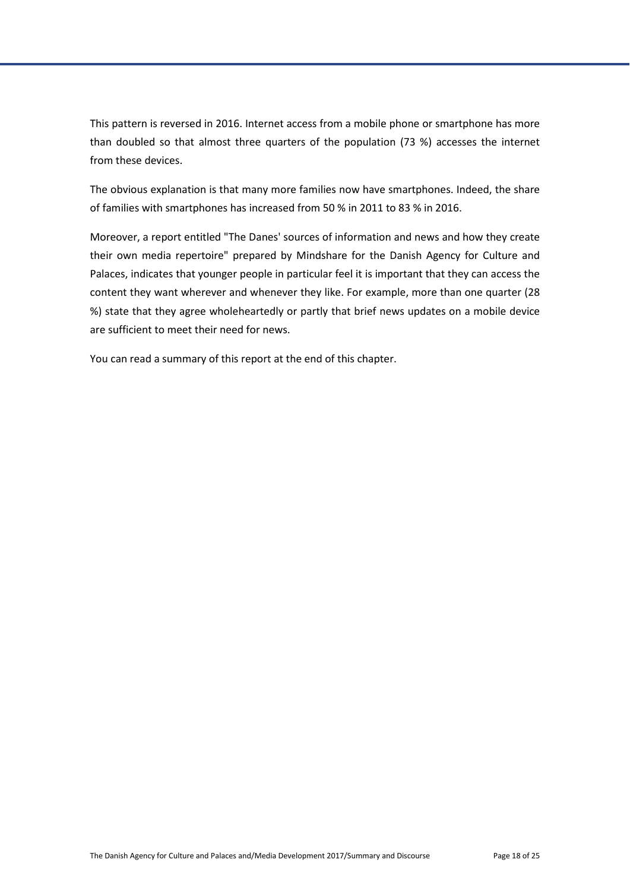This pattern is reversed in 2016. Internet access from a mobile phone or smartphone has more than doubled so that almost three quarters of the population (73 %) accesses the internet from these devices.

The obvious explanation is that many more families now have smartphones. Indeed, the share of families with smartphones has increased from 50 % in 2011 to 83 % in 2016.

Moreover, a report entitled "The Danes' sources of information and news and how they create their own media repertoire" prepared by Mindshare for the Danish Agency for Culture and Palaces, indicates that younger people in particular feel it is important that they can access the content they want wherever and whenever they like. For example, more than one quarter (28 %) state that they agree wholeheartedly or partly that brief news updates on a mobile device are sufficient to meet their need for news.

You can read a summary of this report at the end of this chapter.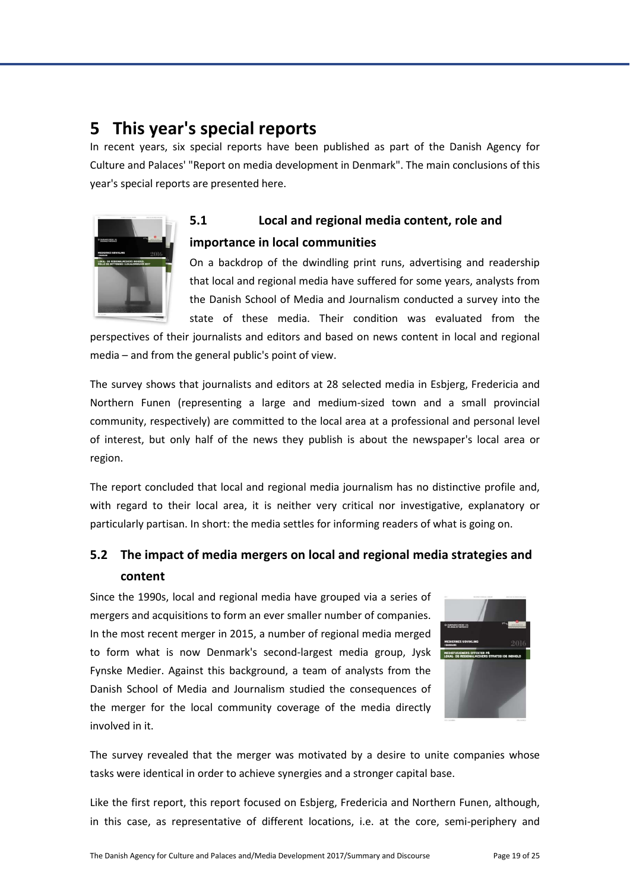# <span id="page-19-0"></span>**5 This year's special reports**

In recent years, six special reports have been published as part of the Danish Agency for Culture and Palaces' "Report on media development in Denmark". The main conclusions of this year's special reports are presented here.



# <span id="page-19-1"></span>**5.1 Local and regional media content, role and importance in local communities**

On a backdrop of the dwindling print runs, advertising and readership that local and regional media have suffered for some years, analysts from the Danish School of Media and Journalism conducted a survey into the state of these media. Their condition was evaluated from the

perspectives of their journalists and editors and based on news content in local and regional media – and from the general public's point of view.

The survey shows that journalists and editors at 28 selected media in Esbjerg, Fredericia and Northern Funen (representing a large and medium-sized town and a small provincial community, respectively) are committed to the local area at a professional and personal level of interest, but only half of the news they publish is about the newspaper's local area or region.

The report concluded that local and regional media journalism has no distinctive profile and, with regard to their local area, it is neither very critical nor investigative, explanatory or particularly partisan. In short: the media settles for informing readers of what is going on.

### <span id="page-19-2"></span>**5.2 The impact of media mergers on local and regional media strategies and content**

Since the 1990s, local and regional media have grouped via a series of mergers and acquisitions to form an ever smaller number of companies. In the most recent merger in 2015, a number of regional media merged to form what is now Denmark's second-largest media group, Jysk Fynske Medier. Against this background, a team of analysts from the Danish School of Media and Journalism studied the consequences of the merger for the local community coverage of the media directly involved in it.



The survey revealed that the merger was motivated by a desire to unite companies whose tasks were identical in order to achieve synergies and a stronger capital base.

Like the first report, this report focused on Esbjerg, Fredericia and Northern Funen, although, in this case, as representative of different locations, i.e. at the core, semi-periphery and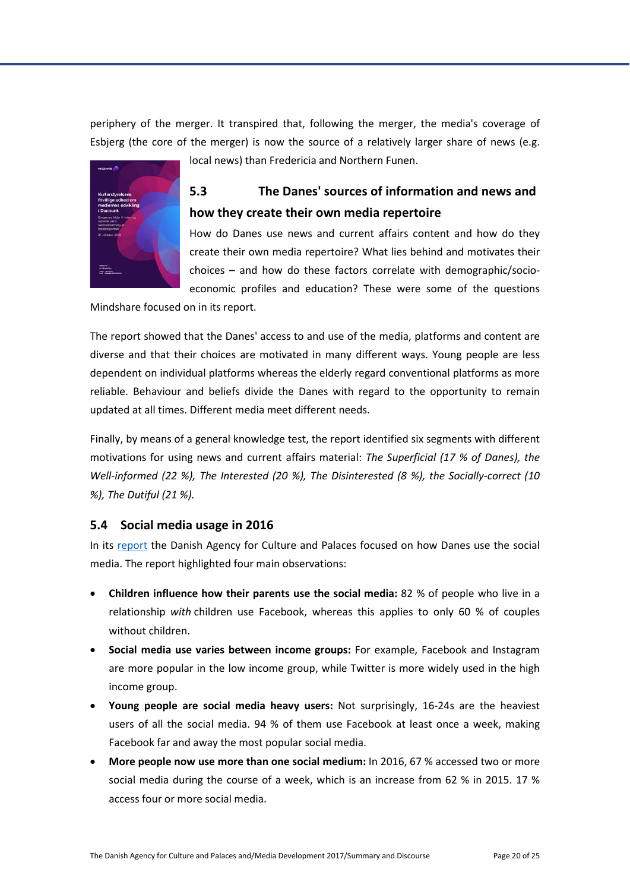periphery of the merger. It transpired that, following the merger, the media's coverage of Esbjerg (the core of the merger) is now the source of a relatively larger share of news (e.g.



# local news) than Fredericia and Northern Funen.

### <span id="page-20-0"></span>**5.3 The Danes' sources of information and news and how they create their own media repertoire**

How do Danes use news and current affairs content and how do they create their own media repertoire? What lies behind and motivates their choices – and how do these factors correlate with demographic/socioeconomic profiles and education? These were some of the questions

Mindshare focused on in its report.

The report showed that the Danes' access to and use of the media, platforms and content are diverse and that their choices are motivated in many different ways. Young people are less dependent on individual platforms whereas the elderly regard conventional platforms as more reliable. Behaviour and beliefs divide the Danes with regard to the opportunity to remain updated at all times. Different media meet different needs.

Finally, by means of a general knowledge test, the report identified six segments with different motivations for using news and current affairs material: *The Superficial (17 % of Danes), the Well-informed (22 %), The Interested (20 %), The Disinterested (8 %), the Socially-correct (10 %), The Dutiful (21 %).*

#### <span id="page-20-1"></span>**5.4 Social media usage in 2016**

In its [report](http://slks.dk/mediernes-udvikling-2016/kort-nyt/brug-af-sociale-medier-i-2016/) the Danish Agency for Culture and Palaces focused on how Danes use the social media. The report highlighted four main observations:

- **Children influence how their parents use the social media:** 82 % of people who live in a relationship *with* children use Facebook, whereas this applies to only 60 % of couples without children.
- **Social media use varies between income groups:** For example, Facebook and Instagram are more popular in the low income group, while Twitter is more widely used in the high income group.
- **Young people are social media heavy users:** Not surprisingly, 16-24s are the heaviest users of all the social media. 94 % of them use Facebook at least once a week, making Facebook far and away the most popular social media.
- **More people now use more than one social medium:** In 2016, 67 % accessed two or more social media during the course of a week, which is an increase from 62 % in 2015. 17 % access four or more social media.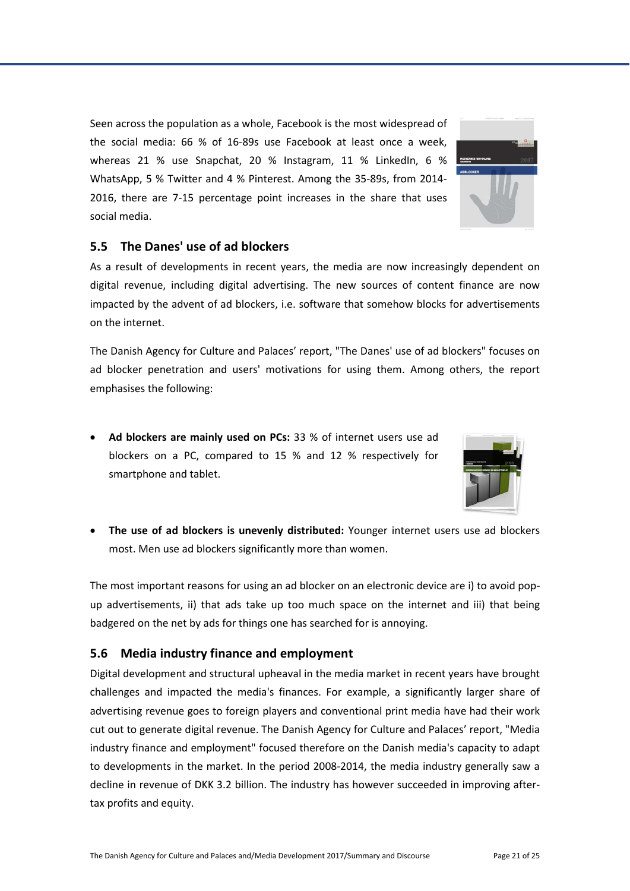Seen across the population as a whole, Facebook is the most widespread of the social media: 66 % of 16-89s use Facebook at least once a week, whereas 21 % use Snapchat, 20 % Instagram, 11 % LinkedIn, 6 % WhatsApp, 5 % Twitter and 4 % Pinterest. Among the 35-89s, from 2014- 2016, there are 7-15 percentage point increases in the share that uses social media.

#### <span id="page-21-0"></span>**5.5 The Danes' use of ad blockers**

As a result of developments in recent years, the media are now increasingly dependent on digital revenue, including digital advertising. The new sources of content finance are now impacted by the advent of ad blockers, i.e. software that somehow blocks for advertisements on the internet.

The Danish Agency for Culture and Palaces' report, "The Danes' use of ad blockers" focuses on ad blocker penetration and users' motivations for using them. Among others, the report emphasises the following:

- **Ad blockers are mainly used on PCs:** 33 % of internet users use ad blockers on a PC, compared to 15 % and 12 % respectively for smartphone and tablet.
- **The use of ad blockers is unevenly distributed:** Younger internet users use ad blockers most. Men use ad blockers significantly more than women.

The most important reasons for using an ad blocker on an electronic device are i) to avoid popup advertisements, ii) that ads take up too much space on the internet and iii) that being badgered on the net by ads for things one has searched for is annoying.

#### <span id="page-21-1"></span>**5.6 Media industry finance and employment**

Digital development and structural upheaval in the media market in recent years have brought challenges and impacted the media's finances. For example, a significantly larger share of advertising revenue goes to foreign players and conventional print media have had their work cut out to generate digital revenue. The Danish Agency for Culture and Palaces' report, "Media industry finance and employment" focused therefore on the Danish media's capacity to adapt to developments in the market. In the period 2008-2014, the media industry generally saw a decline in revenue of DKK 3.2 billion. The industry has however succeeded in improving aftertax profits and equity.



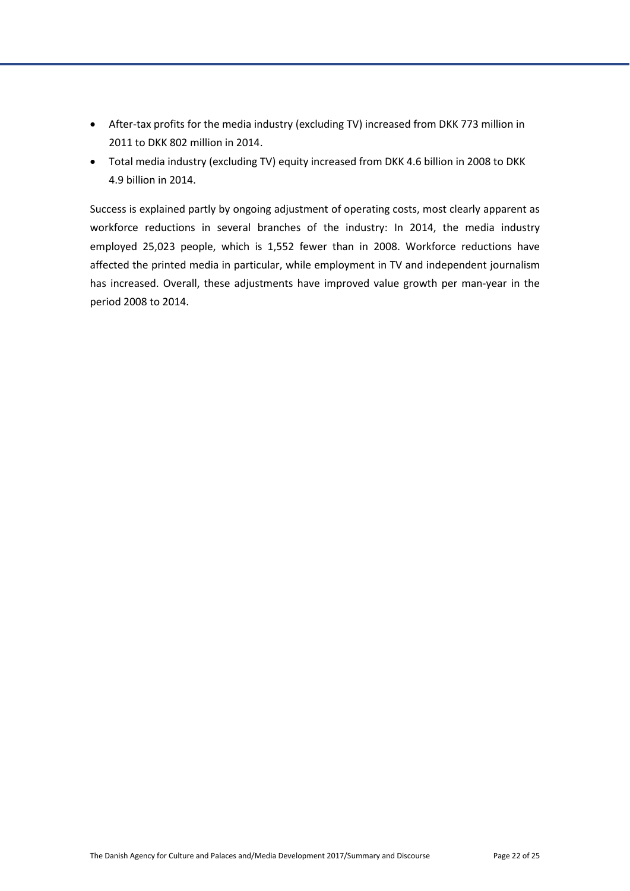- After-tax profits for the media industry (excluding TV) increased from DKK 773 million in 2011 to DKK 802 million in 2014.
- Total media industry (excluding TV) equity increased from DKK 4.6 billion in 2008 to DKK 4.9 billion in 2014.

Success is explained partly by ongoing adjustment of operating costs, most clearly apparent as workforce reductions in several branches of the industry: In 2014, the media industry employed 25,023 people, which is 1,552 fewer than in 2008. Workforce reductions have affected the printed media in particular, while employment in TV and independent journalism has increased. Overall, these adjustments have improved value growth per man-year in the period 2008 to 2014.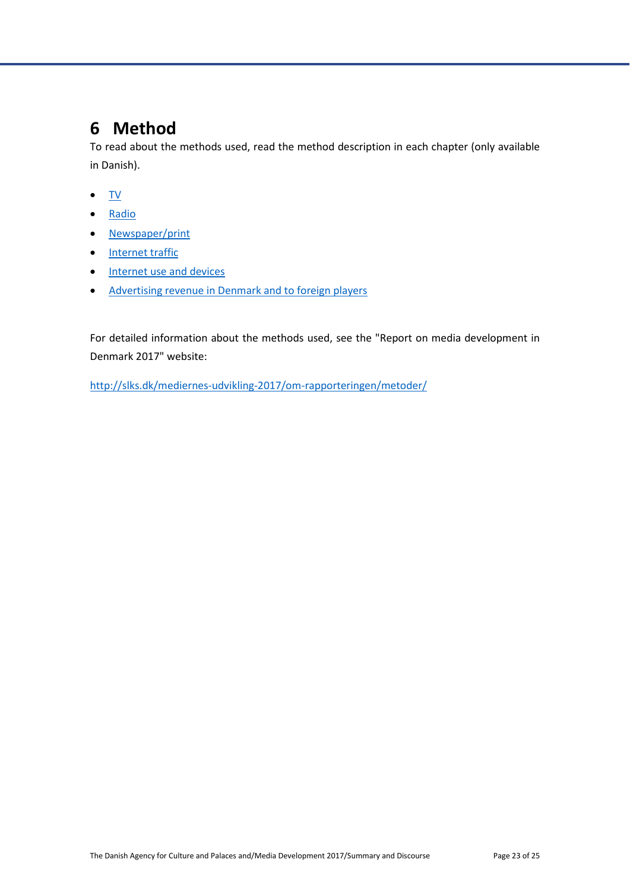# <span id="page-23-0"></span>**6 Method**

To read about the methods used, read the method description in each chapter (only available in Danish).

- [TV](http://slks.dk/mediernes-udvikling-2017/tv/)
- [Radio](http://slks.dk/mediernes-udvikling-2017/radio/)
- [Newspaper/print](http://slks.dk/mediernes-udvikling-2017/avisprint/)
- [Internet traffic](http://slks.dk/mediernes-udvikling-2017/internettrafik/)
- [Internet use and devices](http://slks.dk/mediernes-udvikling-2017/internetbrug-og-enheder/)
- [Advertising revenue in Denmark and to foreign players](http://slks.dk/mediernes-udvikling-2017/branche/annonceomsaetning-i-dk-og-til-udlandet/)

For detailed information about the methods used, see the "Report on media development in Denmark 2017" website:

<http://slks.dk/mediernes-udvikling-2017/om-rapporteringen/metoder/>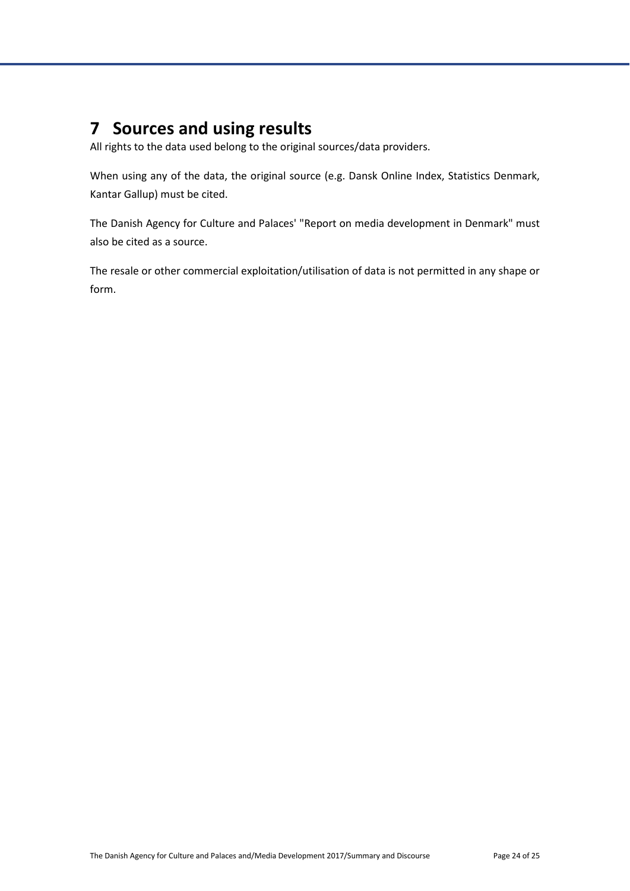# <span id="page-24-0"></span>**7 Sources and using results**

All rights to the data used belong to the original sources/data providers.

When using any of the data, the original source (e.g. Dansk Online Index, Statistics Denmark, Kantar Gallup) must be cited.

The Danish Agency for Culture and Palaces' "Report on media development in Denmark" must also be cited as a source.

The resale or other commercial exploitation/utilisation of data is not permitted in any shape or form.